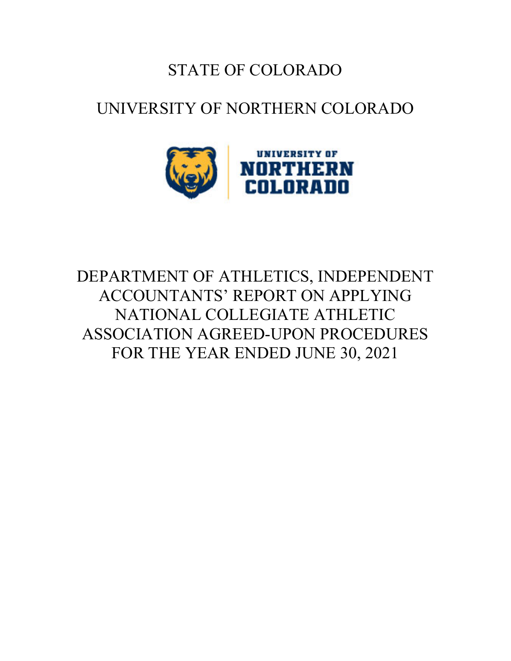## STATE OF COLORADO

## UNIVERSITY OF NORTHERN COLORADO



# DEPARTMENT OF ATHLETICS, INDEPENDENT ACCOUNTANTS' REPORT ON APPLYING NATIONAL COLLEGIATE ATHLETIC ASSOCIATION AGREED-UPON PROCEDURES FOR THE YEAR ENDED JUNE 30, 2021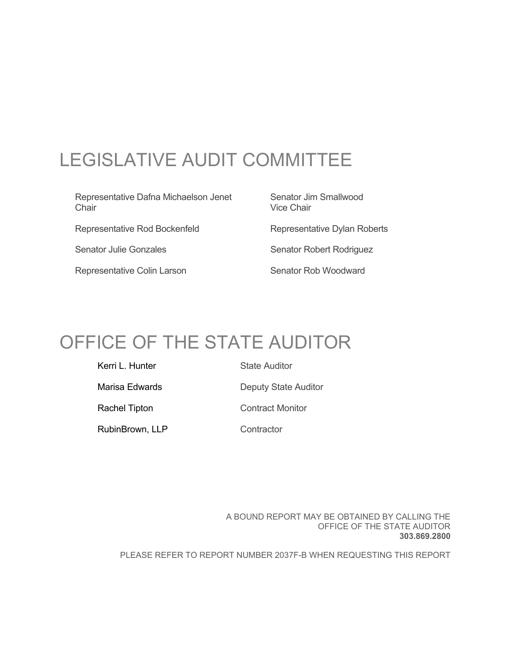# LEGISLATIVE AUDIT COMMITTEE

Representative Dafna Michaelson Jenet Senator Jim Smallwood Chair **Chair** Vice Chair Representative Rod Bockenfeld Representative Dylan Roberts Senator Julie Gonzales Senator Robert Rodriguez Representative Colin Larson Senator Rob Woodward

# OFFICE OF THE STATE AUDITOR

Kerri L. Hunter State Auditor Marisa Edwards **Deputy State Auditor** Rachel Tipton **Contract Monitor** RubinBrown, LLP Contractor

> A BOUND REPORT MAY BE OBTAINED BY CALLING THE OFFICE OF THE STATE AUDITOR **303.869.2800**

PLEASE REFER TO REPORT NUMBER 2037F-B WHEN REQUESTING THIS REPORT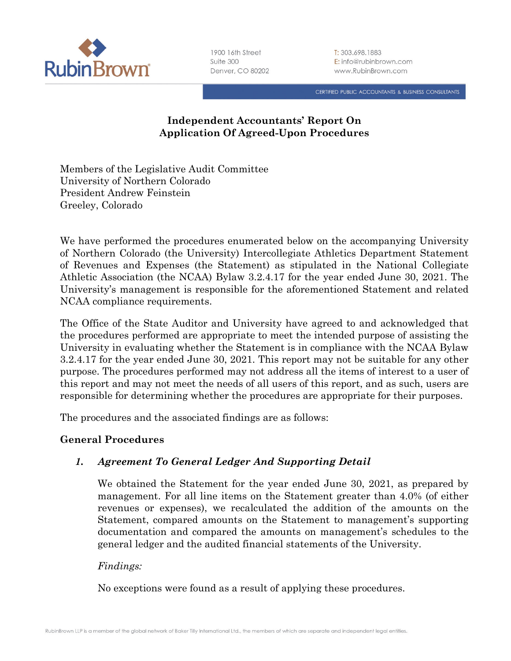

1900 16th Street Suite 300 Denver, CO 80202 T: 303.698.1883 E: info@rubinbrown.com www.RubinBrown.com

CERTIFIED PUBLIC ACCOUNTANTS & BUSINESS CONSULTANTS

## **Independent Accountants' Report On Application Of Agreed-Upon Procedures**

Members of the Legislative Audit Committee University of Northern Colorado President Andrew Feinstein Greeley, Colorado

We have performed the procedures enumerated below on the accompanying University of Northern Colorado (the University) Intercollegiate Athletics Department Statement of Revenues and Expenses (the Statement) as stipulated in the National Collegiate Athletic Association (the NCAA) Bylaw 3.2.4.17 for the year ended June 30, 2021. The University's management is responsible for the aforementioned Statement and related NCAA compliance requirements.

The Office of the State Auditor and University have agreed to and acknowledged that the procedures performed are appropriate to meet the intended purpose of assisting the University in evaluating whether the Statement is in compliance with the NCAA Bylaw 3.2.4.17 for the year ended June 30, 2021. This report may not be suitable for any other purpose. The procedures performed may not address all the items of interest to a user of this report and may not meet the needs of all users of this report, and as such, users are responsible for determining whether the procedures are appropriate for their purposes.

The procedures and the associated findings are as follows:

#### **General Procedures**

## *1. Agreement To General Ledger And Supporting Detail*

We obtained the Statement for the year ended June 30, 2021, as prepared by management. For all line items on the Statement greater than 4.0% (of either revenues or expenses), we recalculated the addition of the amounts on the Statement, compared amounts on the Statement to management's supporting documentation and compared the amounts on management's schedules to the general ledger and the audited financial statements of the University.

#### *Findings:*

No exceptions were found as a result of applying these procedures.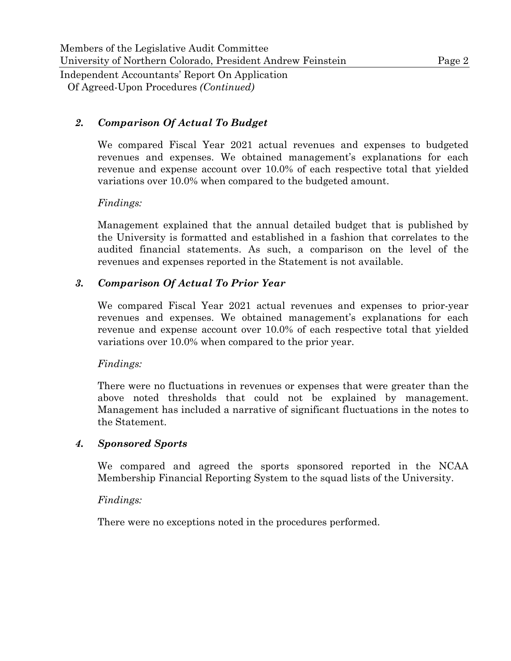#### *2. Comparison Of Actual To Budget*

We compared Fiscal Year 2021 actual revenues and expenses to budgeted revenues and expenses. We obtained management's explanations for each revenue and expense account over 10.0% of each respective total that yielded variations over 10.0% when compared to the budgeted amount.

#### *Findings:*

Management explained that the annual detailed budget that is published by the University is formatted and established in a fashion that correlates to the audited financial statements. As such, a comparison on the level of the revenues and expenses reported in the Statement is not available.

#### *3. Comparison Of Actual To Prior Year*

We compared Fiscal Year 2021 actual revenues and expenses to prior-year revenues and expenses. We obtained management's explanations for each revenue and expense account over 10.0% of each respective total that yielded variations over 10.0% when compared to the prior year.

#### *Findings:*

There were no fluctuations in revenues or expenses that were greater than the above noted thresholds that could not be explained by management. Management has included a narrative of significant fluctuations in the notes to the Statement.

#### *4. Sponsored Sports*

We compared and agreed the sports sponsored reported in the NCAA Membership Financial Reporting System to the squad lists of the University.

#### *Findings:*

There were no exceptions noted in the procedures performed.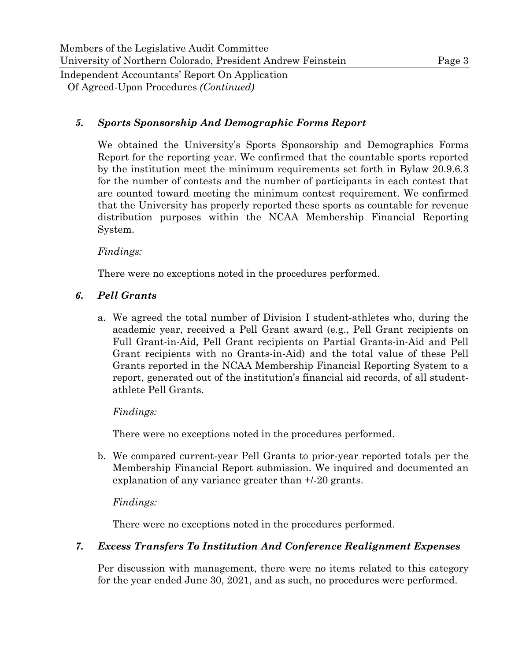#### *5. Sports Sponsorship And Demographic Forms Report*

We obtained the University's Sports Sponsorship and Demographics Forms Report for the reporting year. We confirmed that the countable sports reported by the institution meet the minimum requirements set forth in Bylaw 20.9.6.3 for the number of contests and the number of participants in each contest that are counted toward meeting the minimum contest requirement. We confirmed that the University has properly reported these sports as countable for revenue distribution purposes within the NCAA Membership Financial Reporting System.

#### *Findings:*

There were no exceptions noted in the procedures performed.

## *6. Pell Grants*

a. We agreed the total number of Division I student-athletes who, during the academic year, received a Pell Grant award (e.g., Pell Grant recipients on Full Grant-in-Aid, Pell Grant recipients on Partial Grants-in-Aid and Pell Grant recipients with no Grants-in-Aid) and the total value of these Pell Grants reported in the NCAA Membership Financial Reporting System to a report, generated out of the institution's financial aid records, of all studentathlete Pell Grants.

#### *Findings:*

There were no exceptions noted in the procedures performed.

b. We compared current-year Pell Grants to prior-year reported totals per the Membership Financial Report submission. We inquired and documented an explanation of any variance greater than +/-20 grants.

#### *Findings:*

There were no exceptions noted in the procedures performed.

#### *7. Excess Transfers To Institution And Conference Realignment Expenses*

Per discussion with management, there were no items related to this category for the year ended June 30, 2021, and as such, no procedures were performed.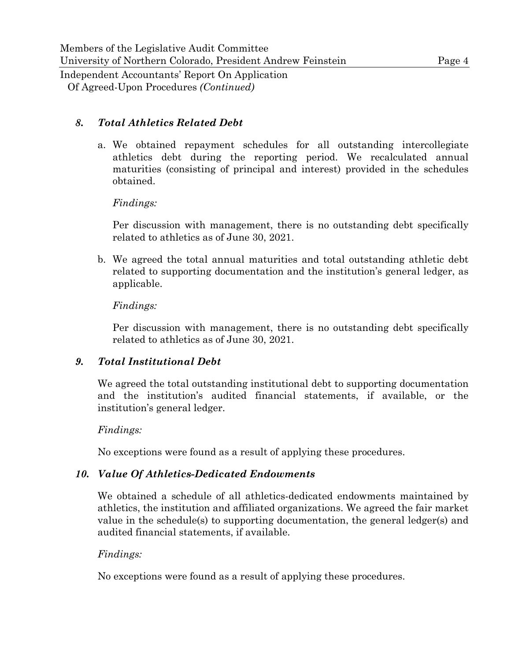## *8. Total Athletics Related Debt*

a. We obtained repayment schedules for all outstanding intercollegiate athletics debt during the reporting period. We recalculated annual maturities (consisting of principal and interest) provided in the schedules obtained.

#### *Findings:*

Per discussion with management, there is no outstanding debt specifically related to athletics as of June 30, 2021.

b. We agreed the total annual maturities and total outstanding athletic debt related to supporting documentation and the institution's general ledger, as applicable.

#### *Findings:*

Per discussion with management, there is no outstanding debt specifically related to athletics as of June 30, 2021.

#### *9. Total Institutional Debt*

We agreed the total outstanding institutional debt to supporting documentation and the institution's audited financial statements, if available, or the institution's general ledger.

#### *Findings:*

No exceptions were found as a result of applying these procedures.

#### *10. Value Of Athletics-Dedicated Endowments*

We obtained a schedule of all athletics-dedicated endowments maintained by athletics, the institution and affiliated organizations. We agreed the fair market value in the schedule(s) to supporting documentation, the general ledger(s) and audited financial statements, if available.

#### *Findings:*

No exceptions were found as a result of applying these procedures.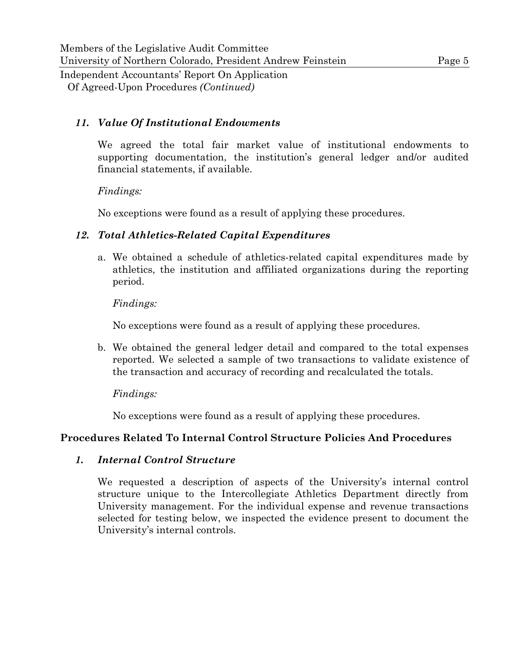## *11. Value Of Institutional Endowments*

We agreed the total fair market value of institutional endowments to supporting documentation, the institution's general ledger and/or audited financial statements, if available.

## *Findings:*

No exceptions were found as a result of applying these procedures.

## *12. Total Athletics-Related Capital Expenditures*

a. We obtained a schedule of athletics-related capital expenditures made by athletics, the institution and affiliated organizations during the reporting period.

## *Findings:*

No exceptions were found as a result of applying these procedures.

b. We obtained the general ledger detail and compared to the total expenses reported. We selected a sample of two transactions to validate existence of the transaction and accuracy of recording and recalculated the totals.

## *Findings:*

No exceptions were found as a result of applying these procedures.

## **Procedures Related To Internal Control Structure Policies And Procedures**

## *1. Internal Control Structure*

We requested a description of aspects of the University's internal control structure unique to the Intercollegiate Athletics Department directly from University management. For the individual expense and revenue transactions selected for testing below, we inspected the evidence present to document the University's internal controls.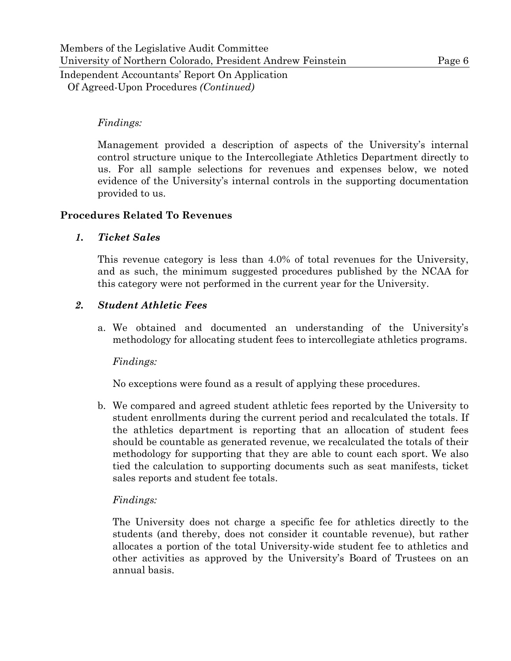#### *Findings:*

Management provided a description of aspects of the University's internal control structure unique to the Intercollegiate Athletics Department directly to us. For all sample selections for revenues and expenses below, we noted evidence of the University's internal controls in the supporting documentation provided to us.

#### **Procedures Related To Revenues**

#### *1. Ticket Sales*

This revenue category is less than 4.0% of total revenues for the University, and as such, the minimum suggested procedures published by the NCAA for this category were not performed in the current year for the University.

#### *2. Student Athletic Fees*

a. We obtained and documented an understanding of the University's methodology for allocating student fees to intercollegiate athletics programs.

#### *Findings:*

No exceptions were found as a result of applying these procedures.

b. We compared and agreed student athletic fees reported by the University to student enrollments during the current period and recalculated the totals. If the athletics department is reporting that an allocation of student fees should be countable as generated revenue, we recalculated the totals of their methodology for supporting that they are able to count each sport. We also tied the calculation to supporting documents such as seat manifests, ticket sales reports and student fee totals.

#### *Findings:*

The University does not charge a specific fee for athletics directly to the students (and thereby, does not consider it countable revenue), but rather allocates a portion of the total University-wide student fee to athletics and other activities as approved by the University's Board of Trustees on an annual basis.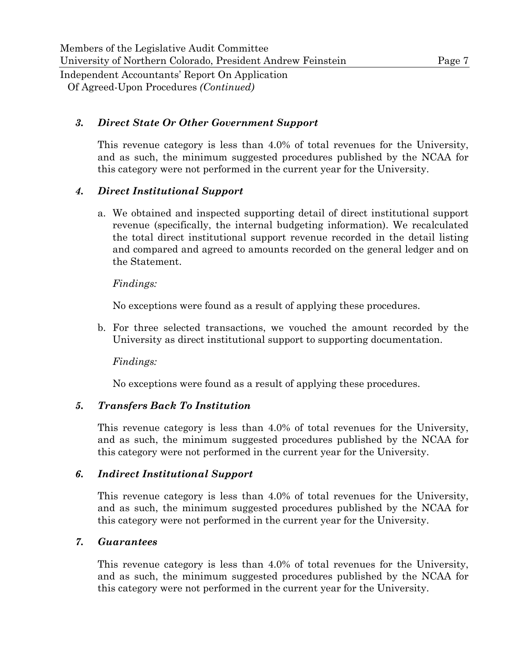#### *3. Direct State Or Other Government Support*

This revenue category is less than 4.0% of total revenues for the University, and as such, the minimum suggested procedures published by the NCAA for this category were not performed in the current year for the University.

#### *4. Direct Institutional Support*

a. We obtained and inspected supporting detail of direct institutional support revenue (specifically, the internal budgeting information). We recalculated the total direct institutional support revenue recorded in the detail listing and compared and agreed to amounts recorded on the general ledger and on the Statement.

#### *Findings:*

No exceptions were found as a result of applying these procedures.

b. For three selected transactions, we vouched the amount recorded by the University as direct institutional support to supporting documentation.

*Findings:* 

No exceptions were found as a result of applying these procedures.

#### *5. Transfers Back To Institution*

This revenue category is less than 4.0% of total revenues for the University, and as such, the minimum suggested procedures published by the NCAA for this category were not performed in the current year for the University.

#### *6. Indirect Institutional Support*

This revenue category is less than 4.0% of total revenues for the University, and as such, the minimum suggested procedures published by the NCAA for this category were not performed in the current year for the University.

#### *7. Guarantees*

This revenue category is less than 4.0% of total revenues for the University, and as such, the minimum suggested procedures published by the NCAA for this category were not performed in the current year for the University.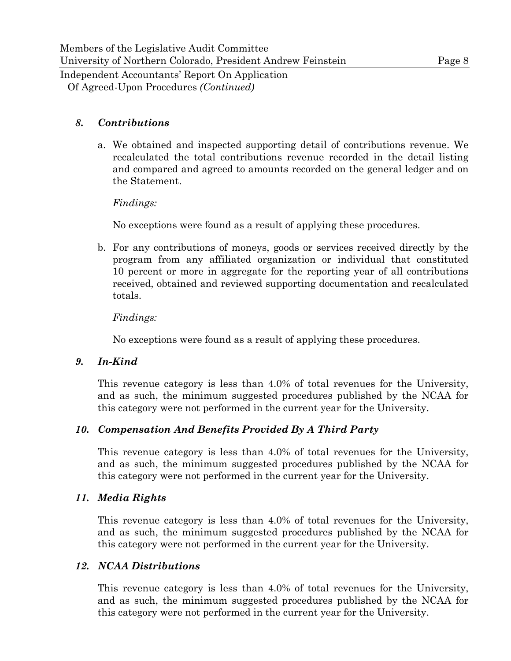#### *8. Contributions*

a. We obtained and inspected supporting detail of contributions revenue. We recalculated the total contributions revenue recorded in the detail listing and compared and agreed to amounts recorded on the general ledger and on the Statement.

#### *Findings:*

No exceptions were found as a result of applying these procedures.

b. For any contributions of moneys, goods or services received directly by the program from any affiliated organization or individual that constituted 10 percent or more in aggregate for the reporting year of all contributions received, obtained and reviewed supporting documentation and recalculated totals.

#### *Findings:*

No exceptions were found as a result of applying these procedures.

#### *9. In-Kind*

This revenue category is less than 4.0% of total revenues for the University, and as such, the minimum suggested procedures published by the NCAA for this category were not performed in the current year for the University.

#### *10. Compensation And Benefits Provided By A Third Party*

This revenue category is less than 4.0% of total revenues for the University, and as such, the minimum suggested procedures published by the NCAA for this category were not performed in the current year for the University.

#### *11. Media Rights*

This revenue category is less than 4.0% of total revenues for the University, and as such, the minimum suggested procedures published by the NCAA for this category were not performed in the current year for the University.

#### *12. NCAA Distributions*

This revenue category is less than 4.0% of total revenues for the University, and as such, the minimum suggested procedures published by the NCAA for this category were not performed in the current year for the University.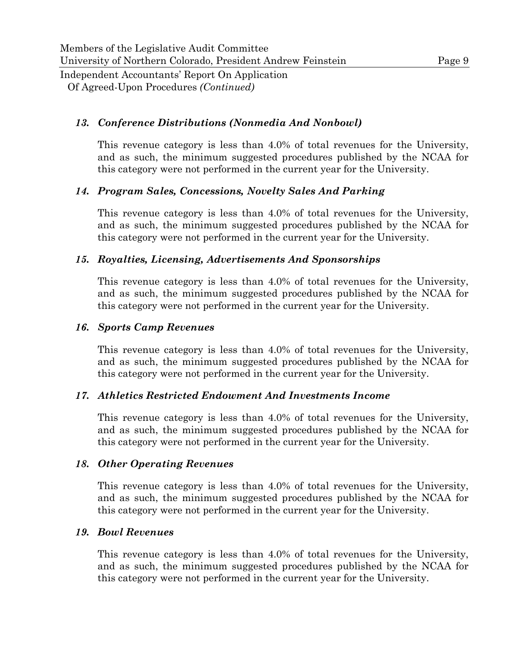#### *13. Conference Distributions (Nonmedia And Nonbowl)*

This revenue category is less than 4.0% of total revenues for the University, and as such, the minimum suggested procedures published by the NCAA for this category were not performed in the current year for the University.

#### *14. Program Sales, Concessions, Novelty Sales And Parking*

This revenue category is less than 4.0% of total revenues for the University, and as such, the minimum suggested procedures published by the NCAA for this category were not performed in the current year for the University.

#### *15. Royalties, Licensing, Advertisements And Sponsorships*

This revenue category is less than 4.0% of total revenues for the University, and as such, the minimum suggested procedures published by the NCAA for this category were not performed in the current year for the University.

#### *16. Sports Camp Revenues*

This revenue category is less than 4.0% of total revenues for the University, and as such, the minimum suggested procedures published by the NCAA for this category were not performed in the current year for the University.

#### *17. Athletics Restricted Endowment And Investments Income*

This revenue category is less than 4.0% of total revenues for the University, and as such, the minimum suggested procedures published by the NCAA for this category were not performed in the current year for the University.

#### *18. Other Operating Revenues*

This revenue category is less than 4.0% of total revenues for the University, and as such, the minimum suggested procedures published by the NCAA for this category were not performed in the current year for the University.

#### *19. Bowl Revenues*

This revenue category is less than 4.0% of total revenues for the University, and as such, the minimum suggested procedures published by the NCAA for this category were not performed in the current year for the University.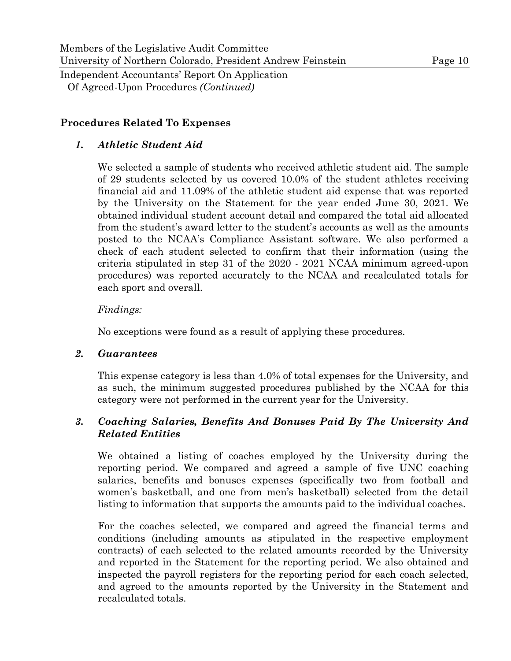#### **Procedures Related To Expenses**

#### *1. Athletic Student Aid*

We selected a sample of students who received athletic student aid. The sample of 29 students selected by us covered 10.0% of the student athletes receiving financial aid and 11.09% of the athletic student aid expense that was reported by the University on the Statement for the year ended June 30, 2021. We obtained individual student account detail and compared the total aid allocated from the student's award letter to the student's accounts as well as the amounts posted to the NCAA's Compliance Assistant software. We also performed a check of each student selected to confirm that their information (using the criteria stipulated in step 31 of the 2020 - 2021 NCAA minimum agreed-upon procedures) was reported accurately to the NCAA and recalculated totals for each sport and overall.

#### *Findings:*

No exceptions were found as a result of applying these procedures.

#### *2. Guarantees*

This expense category is less than 4.0% of total expenses for the University, and as such, the minimum suggested procedures published by the NCAA for this category were not performed in the current year for the University.

#### *3. Coaching Salaries, Benefits And Bonuses Paid By The University And Related Entities*

We obtained a listing of coaches employed by the University during the reporting period. We compared and agreed a sample of five UNC coaching salaries, benefits and bonuses expenses (specifically two from football and women's basketball, and one from men's basketball) selected from the detail listing to information that supports the amounts paid to the individual coaches.

For the coaches selected, we compared and agreed the financial terms and conditions (including amounts as stipulated in the respective employment contracts) of each selected to the related amounts recorded by the University and reported in the Statement for the reporting period. We also obtained and inspected the payroll registers for the reporting period for each coach selected, and agreed to the amounts reported by the University in the Statement and recalculated totals.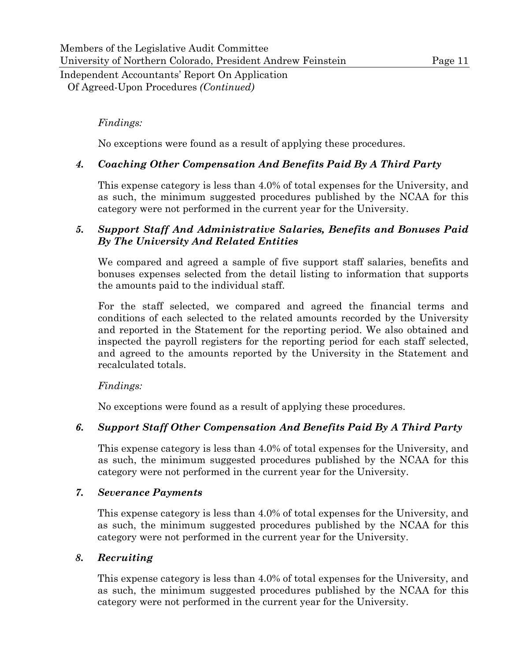#### *Findings:*

No exceptions were found as a result of applying these procedures.

#### *4. Coaching Other Compensation And Benefits Paid By A Third Party*

This expense category is less than 4.0% of total expenses for the University, and as such, the minimum suggested procedures published by the NCAA for this category were not performed in the current year for the University.

#### *5. Support Staff And Administrative Salaries, Benefits and Bonuses Paid By The University And Related Entities*

We compared and agreed a sample of five support staff salaries, benefits and bonuses expenses selected from the detail listing to information that supports the amounts paid to the individual staff.

For the staff selected, we compared and agreed the financial terms and conditions of each selected to the related amounts recorded by the University and reported in the Statement for the reporting period. We also obtained and inspected the payroll registers for the reporting period for each staff selected, and agreed to the amounts reported by the University in the Statement and recalculated totals.

#### *Findings:*

No exceptions were found as a result of applying these procedures.

#### *6. Support Staff Other Compensation And Benefits Paid By A Third Party*

This expense category is less than 4.0% of total expenses for the University, and as such, the minimum suggested procedures published by the NCAA for this category were not performed in the current year for the University.

#### *7. Severance Payments*

This expense category is less than 4.0% of total expenses for the University, and as such, the minimum suggested procedures published by the NCAA for this category were not performed in the current year for the University.

#### *8. Recruiting*

This expense category is less than 4.0% of total expenses for the University, and as such, the minimum suggested procedures published by the NCAA for this category were not performed in the current year for the University.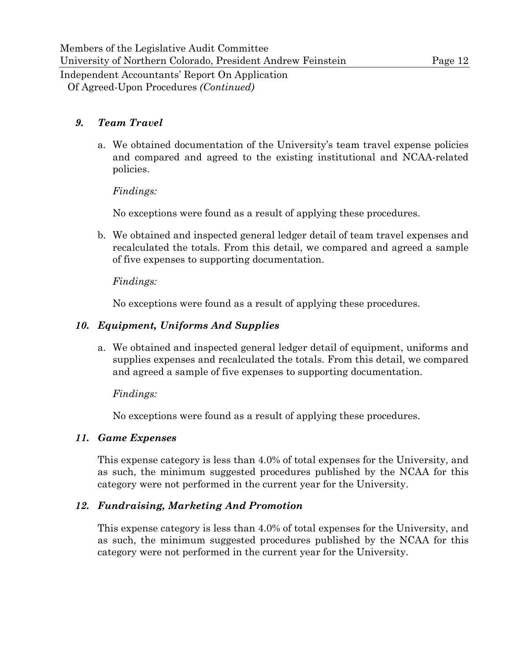#### *9. Team Travel*

a. We obtained documentation of the University's team travel expense policies and compared and agreed to the existing institutional and NCAA-related policies.

#### *Findings:*

No exceptions were found as a result of applying these procedures.

b. We obtained and inspected general ledger detail of team travel expenses and recalculated the totals. From this detail, we compared and agreed a sample of five expenses to supporting documentation.

#### *Findings:*

No exceptions were found as a result of applying these procedures.

#### *10. Equipment, Uniforms And Supplies*

a. We obtained and inspected general ledger detail of equipment, uniforms and supplies expenses and recalculated the totals. From this detail, we compared and agreed a sample of five expenses to supporting documentation.

#### *Findings:*

No exceptions were found as a result of applying these procedures.

#### *11. Game Expenses*

This expense category is less than 4.0% of total expenses for the University, and as such, the minimum suggested procedures published by the NCAA for this category were not performed in the current year for the University.

#### *12. Fundraising, Marketing And Promotion*

This expense category is less than 4.0% of total expenses for the University, and as such, the minimum suggested procedures published by the NCAA for this category were not performed in the current year for the University.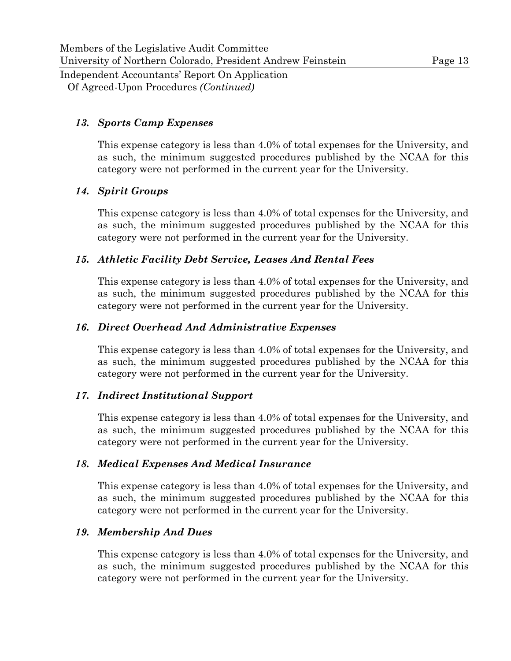#### *13. Sports Camp Expenses*

This expense category is less than 4.0% of total expenses for the University, and as such, the minimum suggested procedures published by the NCAA for this category were not performed in the current year for the University.

#### *14. Spirit Groups*

This expense category is less than 4.0% of total expenses for the University, and as such, the minimum suggested procedures published by the NCAA for this category were not performed in the current year for the University.

#### *15. Athletic Facility Debt Service, Leases And Rental Fees*

This expense category is less than 4.0% of total expenses for the University, and as such, the minimum suggested procedures published by the NCAA for this category were not performed in the current year for the University.

#### *16. Direct Overhead And Administrative Expenses*

This expense category is less than 4.0% of total expenses for the University, and as such, the minimum suggested procedures published by the NCAA for this category were not performed in the current year for the University.

#### *17. Indirect Institutional Support*

This expense category is less than 4.0% of total expenses for the University, and as such, the minimum suggested procedures published by the NCAA for this category were not performed in the current year for the University.

#### *18. Medical Expenses And Medical Insurance*

This expense category is less than 4.0% of total expenses for the University, and as such, the minimum suggested procedures published by the NCAA for this category were not performed in the current year for the University.

#### *19. Membership And Dues*

This expense category is less than 4.0% of total expenses for the University, and as such, the minimum suggested procedures published by the NCAA for this category were not performed in the current year for the University.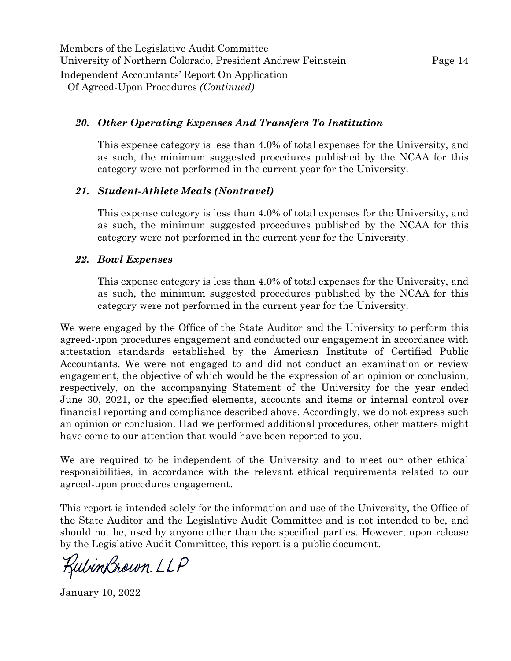#### *20. Other Operating Expenses And Transfers To Institution*

This expense category is less than 4.0% of total expenses for the University, and as such, the minimum suggested procedures published by the NCAA for this category were not performed in the current year for the University.

#### *21. Student-Athlete Meals (Nontravel)*

This expense category is less than 4.0% of total expenses for the University, and as such, the minimum suggested procedures published by the NCAA for this category were not performed in the current year for the University.

#### *22. Bowl Expenses*

This expense category is less than 4.0% of total expenses for the University, and as such, the minimum suggested procedures published by the NCAA for this category were not performed in the current year for the University.

We were engaged by the Office of the State Auditor and the University to perform this agreed-upon procedures engagement and conducted our engagement in accordance with attestation standards established by the American Institute of Certified Public Accountants. We were not engaged to and did not conduct an examination or review engagement, the objective of which would be the expression of an opinion or conclusion, respectively, on the accompanying Statement of the University for the year ended June 30, 2021, or the specified elements, accounts and items or internal control over financial reporting and compliance described above. Accordingly, we do not express such an opinion or conclusion. Had we performed additional procedures, other matters might have come to our attention that would have been reported to you.

We are required to be independent of the University and to meet our other ethical responsibilities, in accordance with the relevant ethical requirements related to our agreed-upon procedures engagement.

This report is intended solely for the information and use of the University, the Office of the State Auditor and the Legislative Audit Committee and is not intended to be, and should not be, used by anyone other than the specified parties. However, upon release by the Legislative Audit Committee, this report is a public document.

KulinBrown LLP

January 10, 2022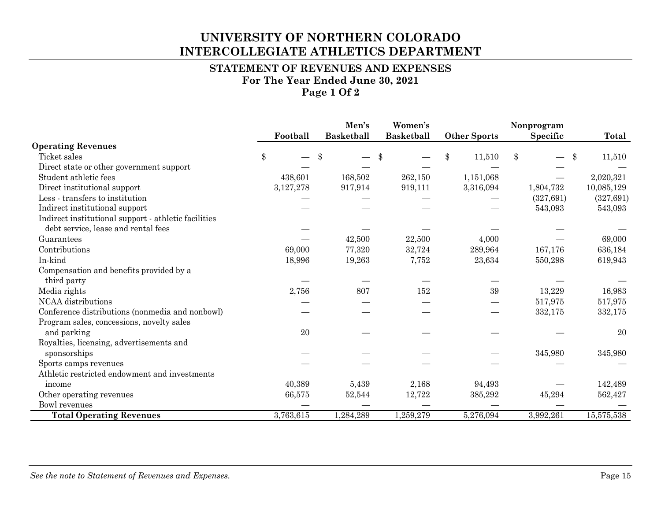## **UNIVERSITY OF NORTHERN COLORADO INTERCOLLEGIATE ATHLETICS DEPARTMENT**

#### **STATEMENT OF REVENUES AND EXPENSES For The Year Ended June 30, 2021 Page 1 Of 2**

|                                                      |           | Men's             | Women's           |       |                     | Nonprogram    |              |
|------------------------------------------------------|-----------|-------------------|-------------------|-------|---------------------|---------------|--------------|
|                                                      | Football  | <b>Basketball</b> | <b>Basketball</b> |       | <b>Other Sports</b> | Specific      | Total        |
| <b>Operating Revenues</b>                            |           |                   |                   |       |                     |               |              |
| Ticket sales                                         | \$        | \$                |                   | $\$\$ | 11,510              | $\mathbf{\$}$ | \$<br>11,510 |
| Direct state or other government support             |           |                   |                   |       |                     |               |              |
| Student athletic fees                                | 438,601   | 168,502           | 262,150           |       | 1,151,068           |               | 2,020,321    |
| Direct institutional support                         | 3,127,278 | 917,914           | 919,111           |       | 3,316,094           | 1,804,732     | 10,085,129   |
| Less - transfers to institution                      |           |                   |                   |       |                     | (327, 691)    | (327, 691)   |
| Indirect institutional support                       |           |                   |                   |       |                     | 543,093       | 543,093      |
| Indirect institutional support - athletic facilities |           |                   |                   |       |                     |               |              |
| debt service, lease and rental fees                  |           |                   |                   |       |                     |               |              |
| Guarantees                                           |           | 42,500            | 22,500            |       | 4,000               |               | 69,000       |
| Contributions                                        | 69,000    | 77,320            | 32,724            |       | 289,964             | 167,176       | 636,184      |
| In-kind                                              | 18,996    | 19,263            | 7,752             |       | 23,634              | 550,298       | 619,943      |
| Compensation and benefits provided by a              |           |                   |                   |       |                     |               |              |
| third party                                          |           |                   |                   |       |                     |               |              |
| Media rights                                         | 2,756     | 807               | 152               |       | 39                  | 13,229        | 16,983       |
| NCAA distributions                                   |           |                   |                   |       |                     | 517,975       | 517,975      |
| Conference distributions (nonmedia and nonbowl)      |           |                   |                   |       |                     | 332,175       | 332,175      |
| Program sales, concessions, novelty sales            |           |                   |                   |       |                     |               |              |
| and parking                                          | 20        |                   |                   |       |                     |               | 20           |
| Royalties, licensing, advertisements and             |           |                   |                   |       |                     |               |              |
| sponsorships                                         |           |                   |                   |       |                     | 345,980       | 345,980      |
| Sports camps revenues                                |           |                   |                   |       |                     |               |              |
| Athletic restricted endowment and investments        |           |                   |                   |       |                     |               |              |
| income                                               | 40,389    | 5,439             | 2,168             |       | 94,493              |               | 142,489      |
| Other operating revenues                             | 66,575    | 52,544            | 12,722            |       | 385,292             | 45,294        | 562,427      |
| <b>Bowl</b> revenues                                 |           |                   |                   |       |                     |               |              |
| <b>Total Operating Revenues</b>                      | 3,763,615 | 1,284,289         | 1,259,279         |       | 5,276,094           | 3,992,261     | 15,575,538   |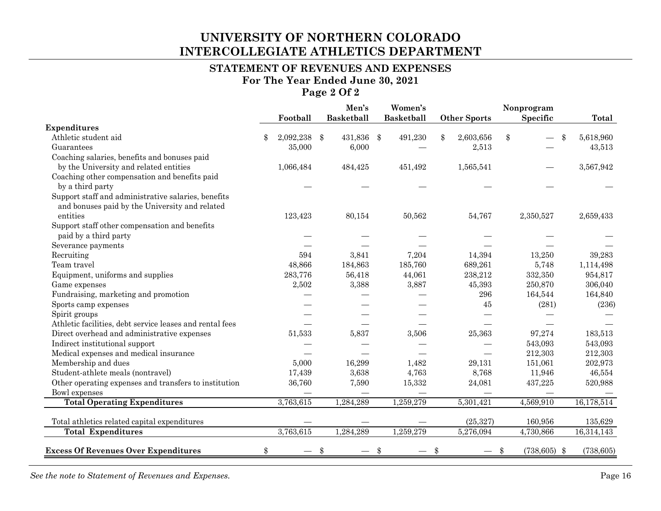## **UNIVERSITY OF NORTHERN COLORADO INTERCOLLEGIATE ATHLETICS DEPARTMENT**

#### **STATEMENT OF REVENUES AND EXPENSES For The Year Ended June 30, 2021 Page 2 Of 2**

|                                                          |           |       | Men's             |  | Women's           |  |                     | Nonprogram           |  |            |  |
|----------------------------------------------------------|-----------|-------|-------------------|--|-------------------|--|---------------------|----------------------|--|------------|--|
|                                                          | Football  |       | <b>Basketball</b> |  | <b>Basketball</b> |  | <b>Other Sports</b> | Specific             |  | Total      |  |
| <b>Expenditures</b>                                      |           |       |                   |  |                   |  |                     |                      |  |            |  |
| Athletic student aid                                     | 2,092,238 | $\$\$ | 431,836 \$        |  | 491,230           |  | 2,603,656           | \$                   |  | 5,618,960  |  |
| Guarantees                                               | 35,000    |       | 6,000             |  |                   |  | 2,513               |                      |  | 43,513     |  |
| Coaching salaries, benefits and bonuses paid             |           |       |                   |  |                   |  |                     |                      |  |            |  |
| by the University and related entities                   | 1,066,484 |       | 484,425           |  | 451,492           |  | 1,565,541           |                      |  | 3,567,942  |  |
| Coaching other compensation and benefits paid            |           |       |                   |  |                   |  |                     |                      |  |            |  |
| by a third party                                         |           |       |                   |  |                   |  |                     |                      |  |            |  |
| Support staff and administrative salaries, benefits      |           |       |                   |  |                   |  |                     |                      |  |            |  |
| and bonuses paid by the University and related           |           |       |                   |  |                   |  |                     |                      |  |            |  |
| entities                                                 | 123,423   |       | 80,154            |  | 50,562            |  | 54,767              | 2,350,527            |  | 2,659,433  |  |
| Support staff other compensation and benefits            |           |       |                   |  |                   |  |                     |                      |  |            |  |
| paid by a third party                                    |           |       |                   |  |                   |  |                     |                      |  |            |  |
| Severance payments                                       |           |       |                   |  |                   |  |                     |                      |  |            |  |
| Recruiting                                               | 594       |       | 3,841             |  | 7,204             |  | 14,394              | 13,250               |  | 39,283     |  |
| Team travel                                              | 48,866    |       | 184,863           |  | 185,760           |  | 689,261             | 5,748                |  | 1,114,498  |  |
| Equipment, uniforms and supplies                         | 283,776   |       | 56,418            |  | 44,061            |  | 238,212             | 332,350              |  | 954,817    |  |
| Game expenses                                            | 2,502     |       | 3,388             |  | 3,887             |  | 45,393              | 250,870              |  | 306,040    |  |
| Fundraising, marketing and promotion                     |           |       |                   |  |                   |  | 296                 | 164,544              |  | 164,840    |  |
| Sports camp expenses                                     |           |       |                   |  |                   |  | 45                  | (281)                |  | (236)      |  |
| Spirit groups                                            |           |       |                   |  |                   |  |                     |                      |  |            |  |
| Athletic facilities, debt service leases and rental fees |           |       |                   |  |                   |  |                     |                      |  |            |  |
| Direct overhead and administrative expenses              | 51,533    |       | 5,837             |  | 3,506             |  | 25,363              | 97,274               |  | 183,513    |  |
| Indirect institutional support                           |           |       |                   |  |                   |  |                     | 543,093              |  | 543,093    |  |
| Medical expenses and medical insurance                   |           |       |                   |  |                   |  |                     | 212,303              |  | 212,303    |  |
| Membership and dues                                      | 5,000     |       | 16,299            |  | 1,482             |  | 29,131              | 151,061              |  | 202,973    |  |
| Student-athlete meals (nontravel)                        | 17,439    |       | 3,638             |  | 4,763             |  | 8,768               | 11,946               |  | 46,554     |  |
| Other operating expenses and transfers to institution    | 36,760    |       | 7,590             |  | 15,332            |  | 24,081              | 437,225              |  | 520,988    |  |
| Bowl expenses                                            |           |       |                   |  |                   |  |                     |                      |  |            |  |
| <b>Total Operating Expenditures</b>                      | 3,763,615 |       | 1,284,289         |  | 1,259,279         |  | 5,301,421           | 4,569,910            |  | 16,178,514 |  |
|                                                          |           |       |                   |  |                   |  |                     |                      |  |            |  |
| Total athletics related capital expenditures             |           |       |                   |  |                   |  | (25, 327)           | 160,956              |  | 135,629    |  |
| <b>Total Expenditures</b>                                | 3,763,615 |       | 1.284.289         |  | 1,259,279         |  | 5,276,094           | 4,730,866            |  | 16,314,143 |  |
| <b>Excess Of Revenues Over Expenditures</b>              | \$        | \$    |                   |  |                   |  |                     | \$<br>$(738,605)$ \$ |  | (738, 605) |  |

*See the note to Statement of Revenues and Expenses.* Page 16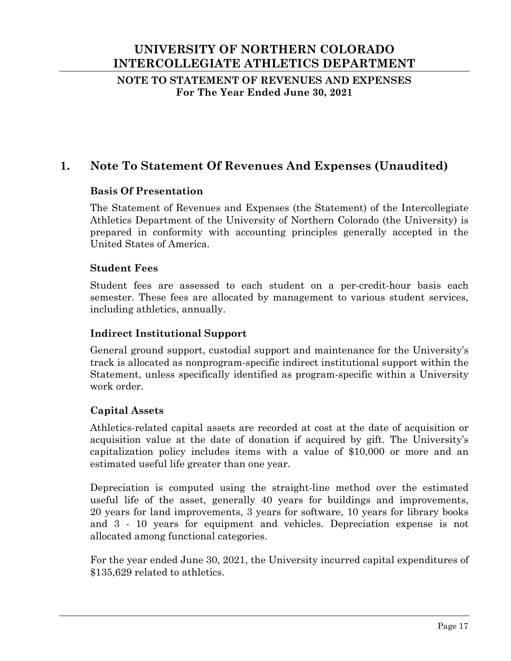## **UNIVERSITY OF NORTHERN COLORADO INTERCOLLEGIATE ATHLETICS DEPARTMENT**

**NOTE TO STATEMENT OF REVENUES AND EXPENSES For The Year Ended June 30, 2021** 

## **1. Note To Statement Of Revenues And Expenses (Unaudited)**

#### **Basis Of Presentation**

The Statement of Revenues and Expenses (the Statement) of the Intercollegiate Athletics Department of the University of Northern Colorado (the University) is prepared in conformity with accounting principles generally accepted in the United States of America.

#### **Student Fees**

Student fees are assessed to each student on a per-credit-hour basis each semester. These fees are allocated by management to various student services, including athletics, annually.

#### **Indirect Institutional Support**

General ground support, custodial support and maintenance for the University's track is allocated as nonprogram-specific indirect institutional support within the Statement, unless specifically identified as program-specific within a University work order.

#### **Capital Assets**

Athletics-related capital assets are recorded at cost at the date of acquisition or acquisition value at the date of donation if acquired by gift. The University's capitalization policy includes items with a value of \$10,000 or more and an estimated useful life greater than one year.

Depreciation is computed using the straight-line method over the estimated useful life of the asset, generally 40 years for buildings and improvements, 20 years for land improvements, 3 years for software, 10 years for library books and 3 - 10 years for equipment and vehicles. Depreciation expense is not allocated among functional categories.

For the year ended June 30, 2021, the University incurred capital expenditures of \$135,629 related to athletics.